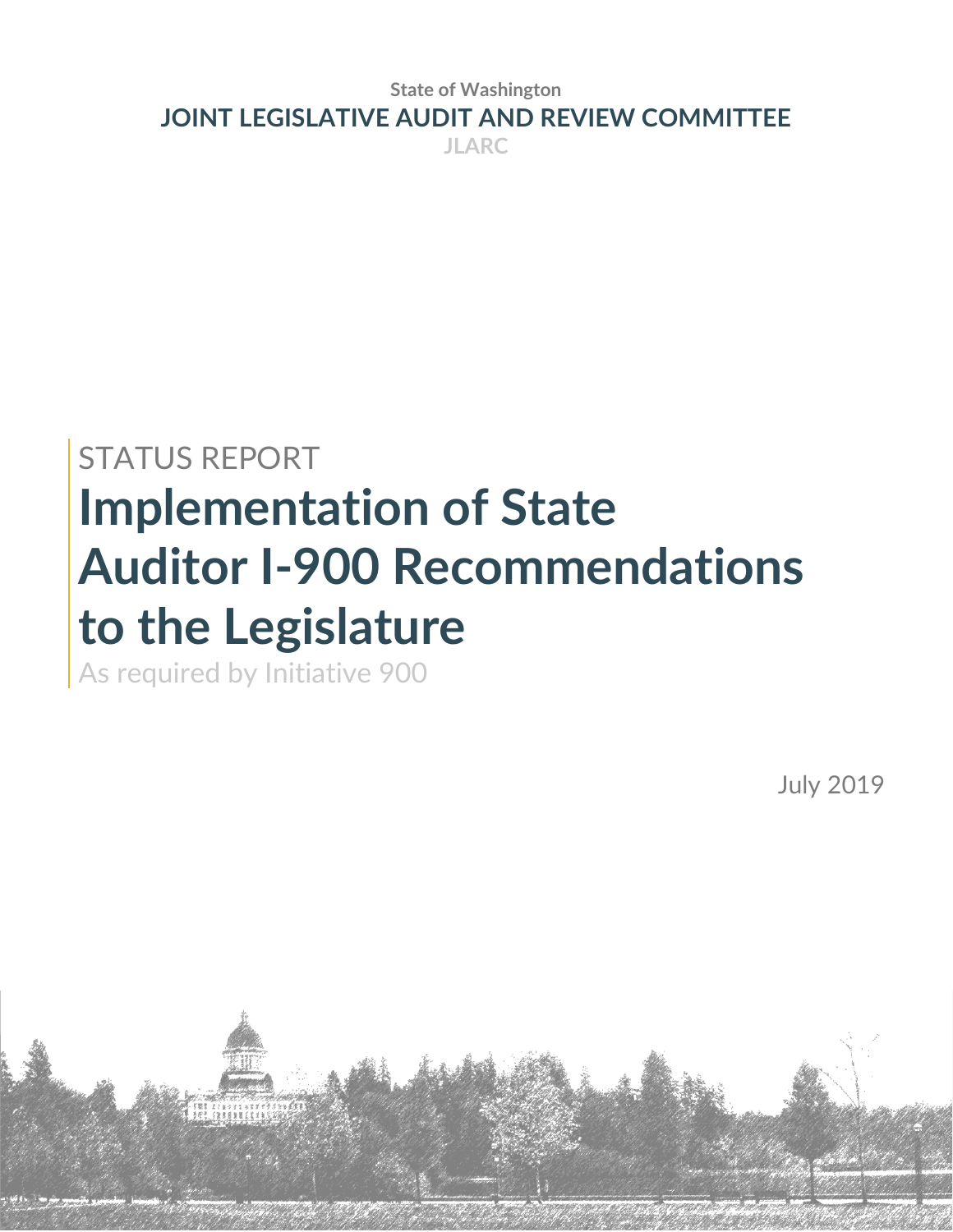**State of Washington JOINT LEGISLATIVE AUDIT AND REVIEW COMMITTEE JLARC**

# STATUS REPORT **Implementation of State Auditor I-900 Recommendations to the Legislature**

As required by Initiative 900

**AN INEXERE** 

July 2019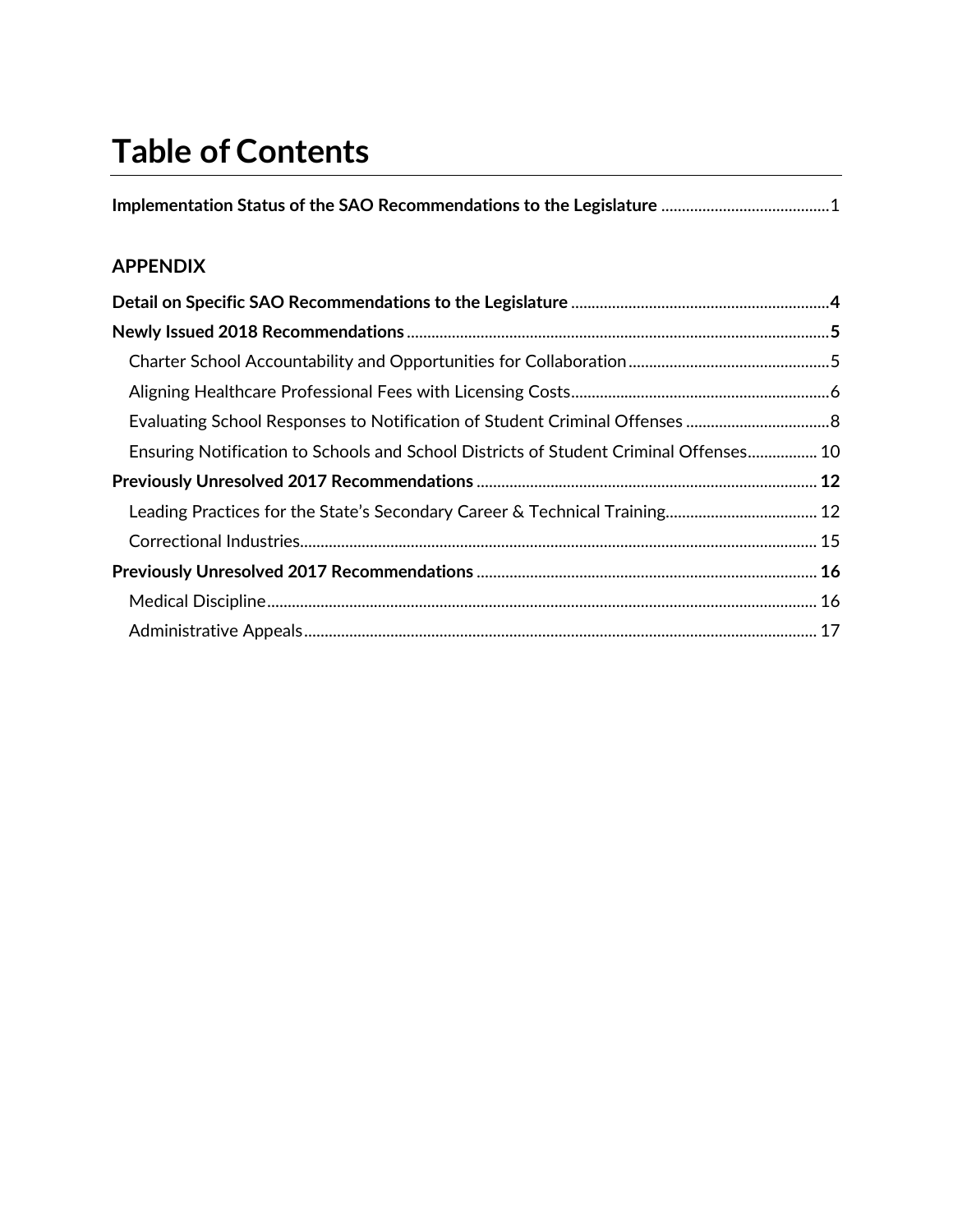## **Table of Contents**

## **APPENDIX**

| Ensuring Notification to Schools and School Districts of Student Criminal Offenses 10 |  |
|---------------------------------------------------------------------------------------|--|
|                                                                                       |  |
|                                                                                       |  |
|                                                                                       |  |
|                                                                                       |  |
|                                                                                       |  |
|                                                                                       |  |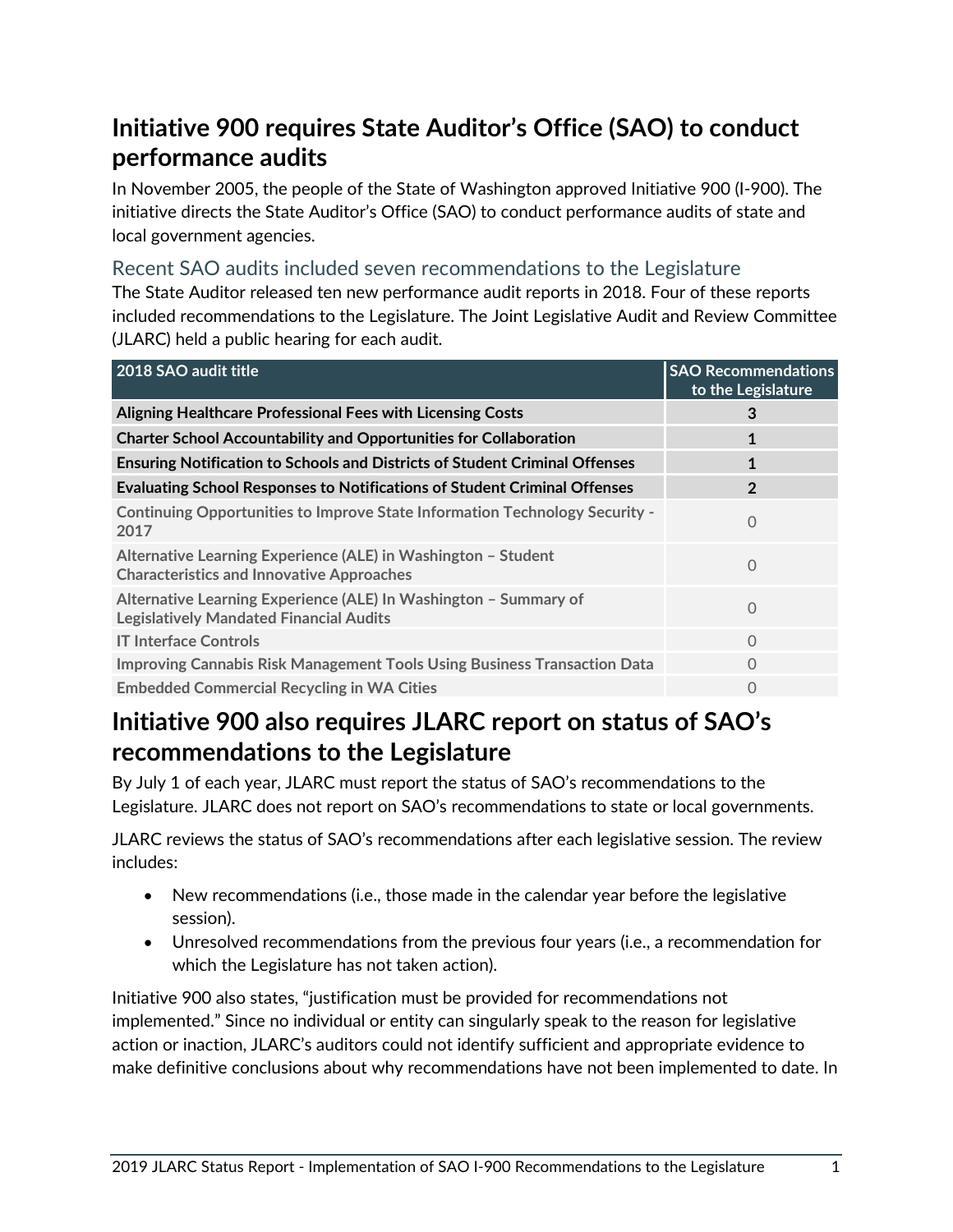## <span id="page-3-0"></span>**Initiative 900 requires State Auditor's Office (SAO) to conduct performance audits**

In November 2005, the people of the State of Washington approved Initiative 900 (I-900). The initiative directs the State Auditor's Office (SAO) to conduct performance audits of state and local government agencies.

#### Recent SAO audits included seven recommendations to the Legislature

The State Auditor released ten new performance audit reports in 2018. Four of these reports included recommendations to the Legislature. The Joint Legislative Audit and Review Committee (JLARC) held a public hearing for each audit.

| 2018 SAO audit title                                                                                               | <b>SAO Recommendations</b><br>to the Legislature |
|--------------------------------------------------------------------------------------------------------------------|--------------------------------------------------|
| Aligning Healthcare Professional Fees with Licensing Costs                                                         | 3                                                |
| <b>Charter School Accountability and Opportunities for Collaboration</b>                                           |                                                  |
| <b>Ensuring Notification to Schools and Districts of Student Criminal Offenses</b>                                 | $\mathbf 1$                                      |
| <b>Evaluating School Responses to Notifications of Student Criminal Offenses</b>                                   | $\overline{2}$                                   |
| Continuing Opportunities to Improve State Information Technology Security -<br>2017                                | $\Omega$                                         |
| Alternative Learning Experience (ALE) in Washington - Student<br><b>Characteristics and Innovative Approaches</b>  | $\Omega$                                         |
| Alternative Learning Experience (ALE) In Washington - Summary of<br><b>Legislatively Mandated Financial Audits</b> | $\Omega$                                         |
| <b>IT Interface Controls</b>                                                                                       | $\Omega$                                         |
| <b>Improving Cannabis Risk Management Tools Using Business Transaction Data</b>                                    | $\Omega$                                         |
| <b>Embedded Commercial Recycling in WA Cities</b>                                                                  | $\Omega$                                         |

## **Initiative 900 also requires JLARC report on status of SAO's recommendations to the Legislature**

By July 1 of each year, JLARC must report the status of SAO's recommendations to the Legislature. JLARC does not report on SAO's recommendations to state or local governments.

JLARC reviews the status of SAO's recommendations after each legislative session. The review includes:

- New recommendations (i.e., those made in the calendar year before the legislative session).
- Unresolved recommendations from the previous four years (i.e., a recommendation for which the Legislature has not taken action).

Initiative 900 also states, "justification must be provided for recommendations not implemented." Since no individual or entity can singularly speak to the reason for legislative action or inaction, JLARC's auditors could not identify sufficient and appropriate evidence to make definitive conclusions about why recommendations have not been implemented to date. In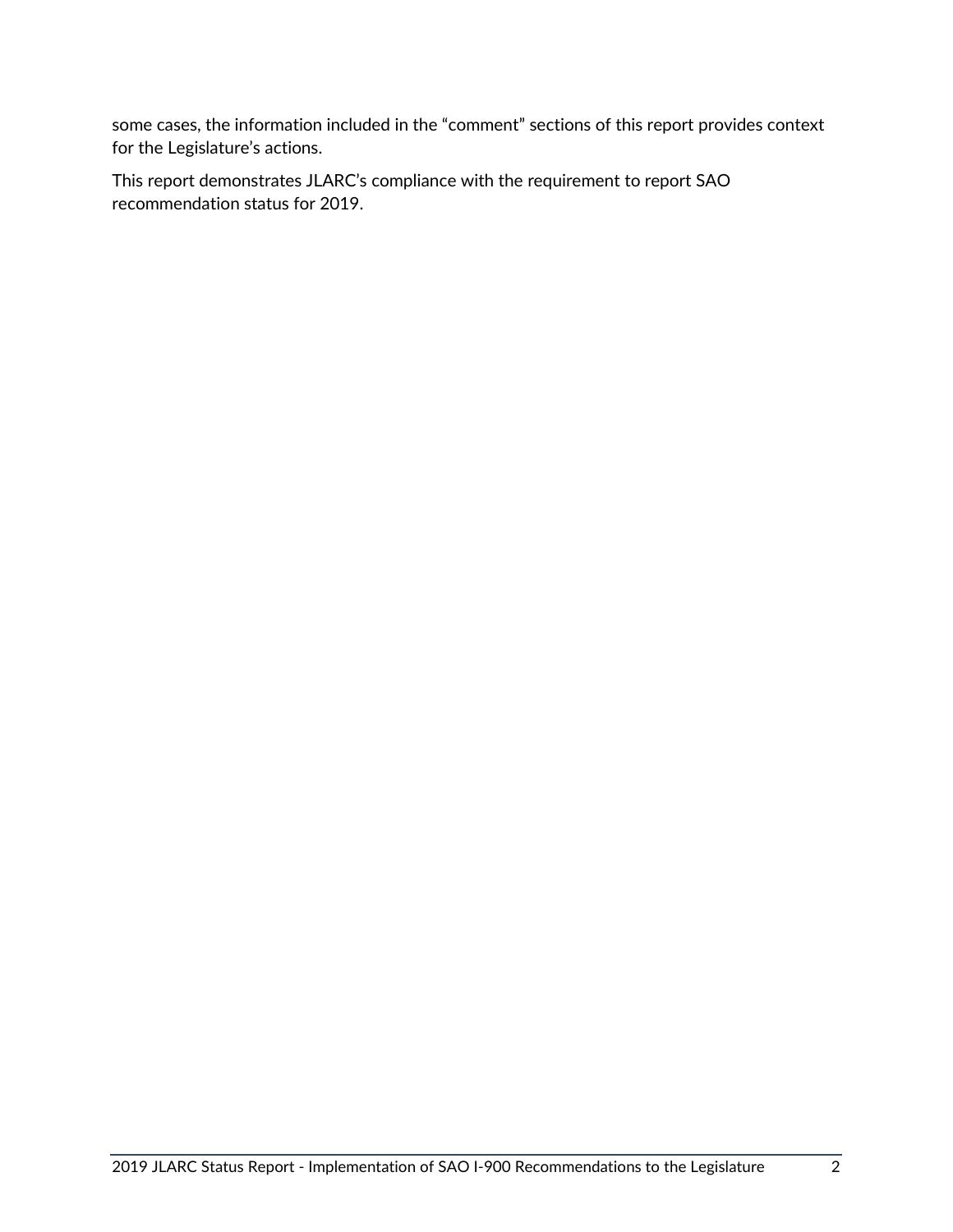some cases, the information included in the "comment" sections of this report provides context for the Legislature's actions.

This report demonstrates JLARC's compliance with the requirement to report SAO recommendation status for 2019.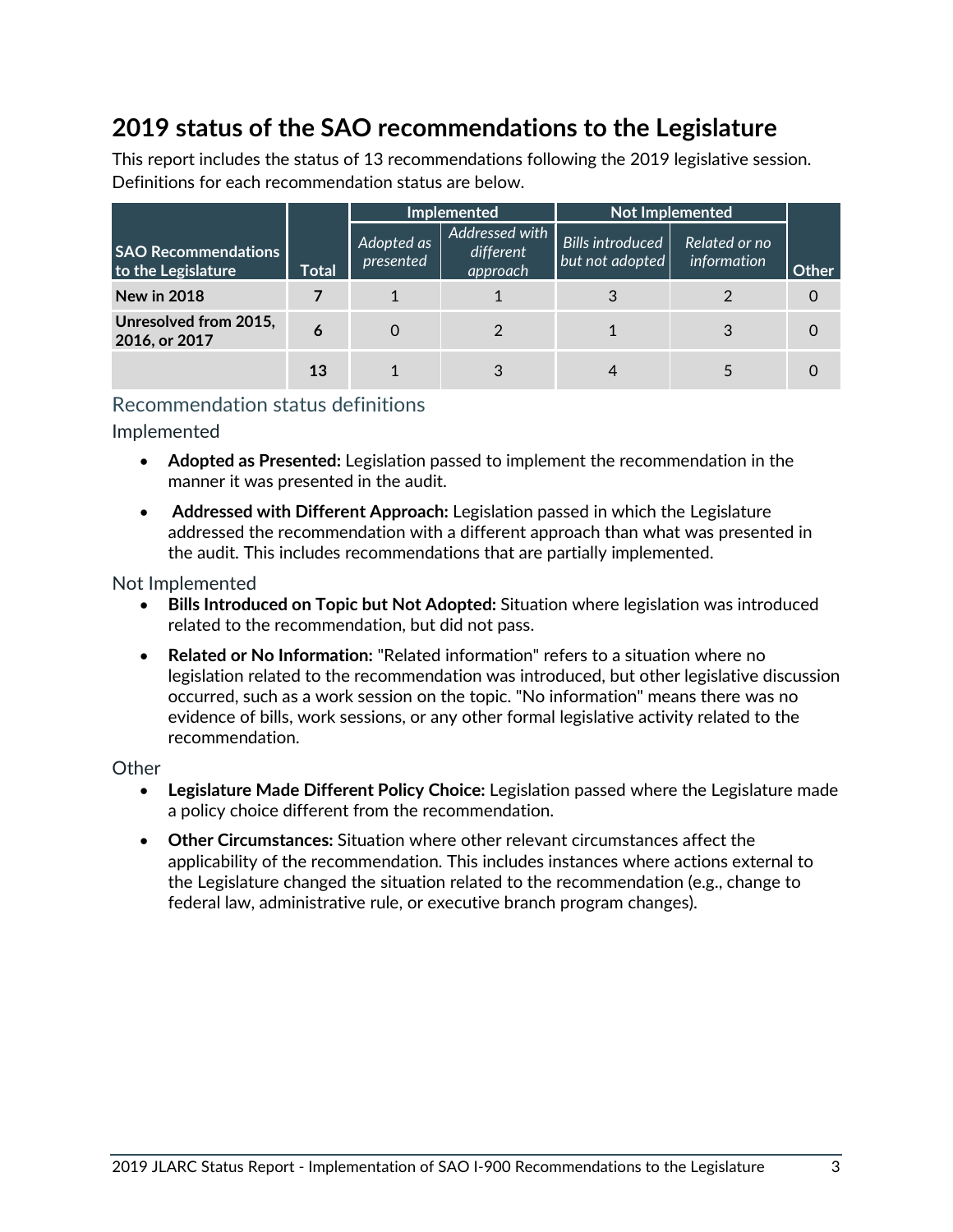## **2019 status of the SAO recommendations to the Legislature**

This report includes the status of 13 recommendations following the 2019 legislative session. Definitions for each recommendation status are below.

|                                                  |              | Implemented             |                                         | <b>Not Implemented</b>                     |                              |       |  |
|--------------------------------------------------|--------------|-------------------------|-----------------------------------------|--------------------------------------------|------------------------------|-------|--|
| <b>SAO Recommendations</b><br>to the Legislature | <b>Total</b> | Adopted as<br>presented | Addressed with<br>different<br>approach | <b>Bills introduced</b><br>but not adopted | Related or no<br>information | Other |  |
| <b>New in 2018</b>                               |              |                         |                                         |                                            |                              |       |  |
| Unresolved from 2015,<br>2016, or 2017           | 6            | O                       |                                         |                                            |                              |       |  |
|                                                  | 13           |                         |                                         |                                            |                              |       |  |

#### Recommendation status definitions

Implemented

- **Adopted as Presented:** Legislation passed to implement the recommendation in the manner it was presented in the audit.
- **Addressed with Different Approach:** Legislation passed in which the Legislature addressed the recommendation with a different approach than what was presented in the audit. This includes recommendations that are partially implemented.

#### Not Implemented

- **Bills Introduced on Topic but Not Adopted:** Situation where legislation was introduced related to the recommendation, but did not pass.
- **Related or No Information:** "Related information" refers to a situation where no legislation related to the recommendation was introduced, but other legislative discussion occurred, such as a work session on the topic. "No information" means there was no evidence of bills, work sessions, or any other formal legislative activity related to the recommendation.

#### **Other**

- **Legislature Made Different Policy Choice:** Legislation passed where the Legislature made a policy choice different from the recommendation.
- **Other Circumstances:** Situation where other relevant circumstances affect the applicability of the recommendation. This includes instances where actions external to the Legislature changed the situation related to the recommendation (e.g., change to federal law, administrative rule, or executive branch program changes).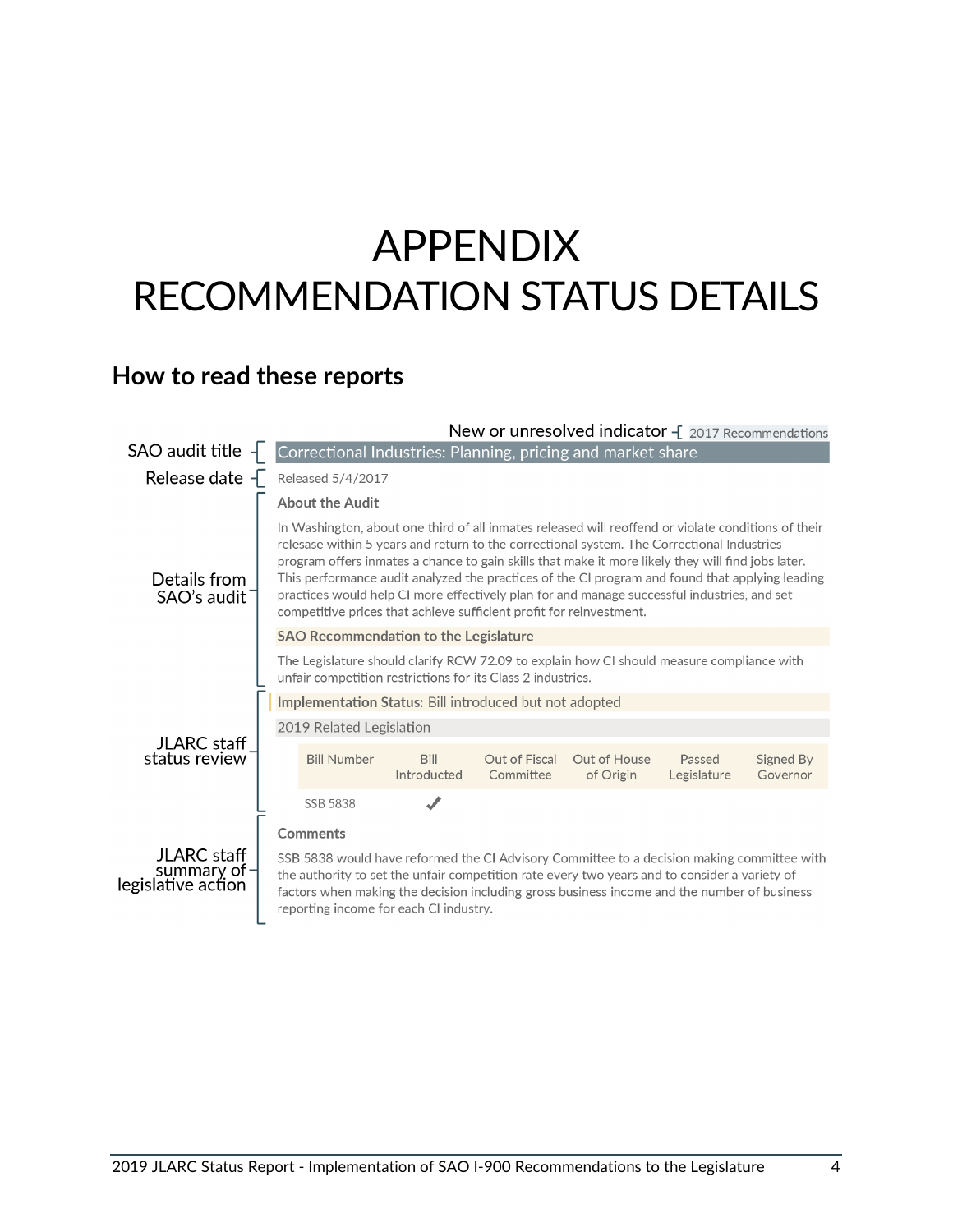## <span id="page-6-0"></span>APPENDIX RECOMMENDATION STATUS DETAILS

**How to read these reports**



2019 JLARC Status Report - Implementation of SAO I-900 Recommendations to the Legislature 4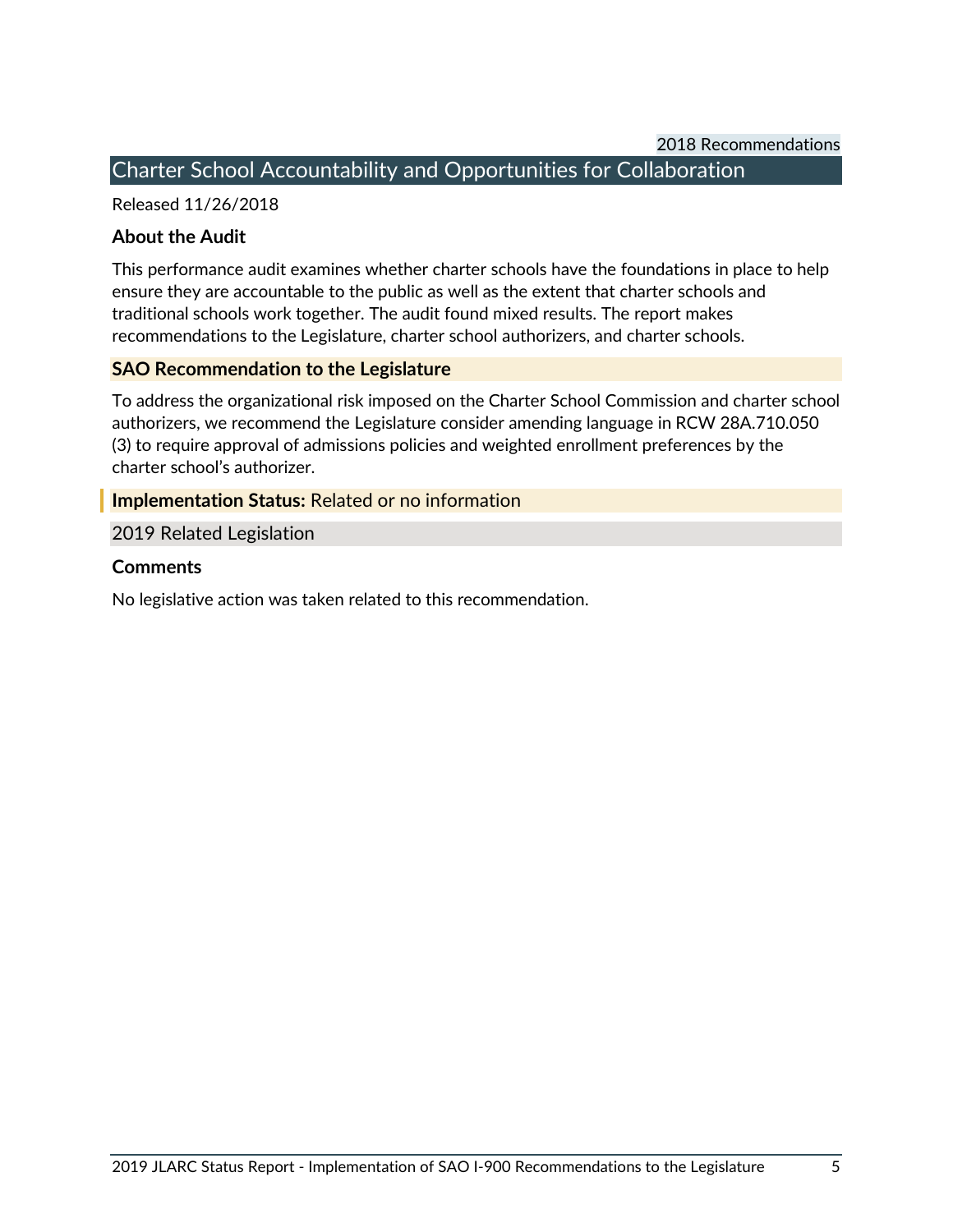#### <span id="page-7-0"></span>Charter School Accountability and Opportunities for Collaboration

Released 11/26/2018

#### **About the Audit**

This performance audit examines whether charter schools have the foundations in place to help ensure they are accountable to the public as well as the extent that charter schools and traditional schools work together. The audit found mixed results. The report makes recommendations to the Legislature, charter school authorizers, and charter schools.

#### **SAO Recommendation to the Legislature**

To address the organizational risk imposed on the Charter School Commission and charter school authorizers, we recommend the Legislature consider amending language in RCW 28A.710.050 (3) to require approval of admissions policies and weighted enrollment preferences by the charter school's authorizer.

#### **Implementation Status:** Related or no information

#### 2019 Related Legislation

#### **Comments**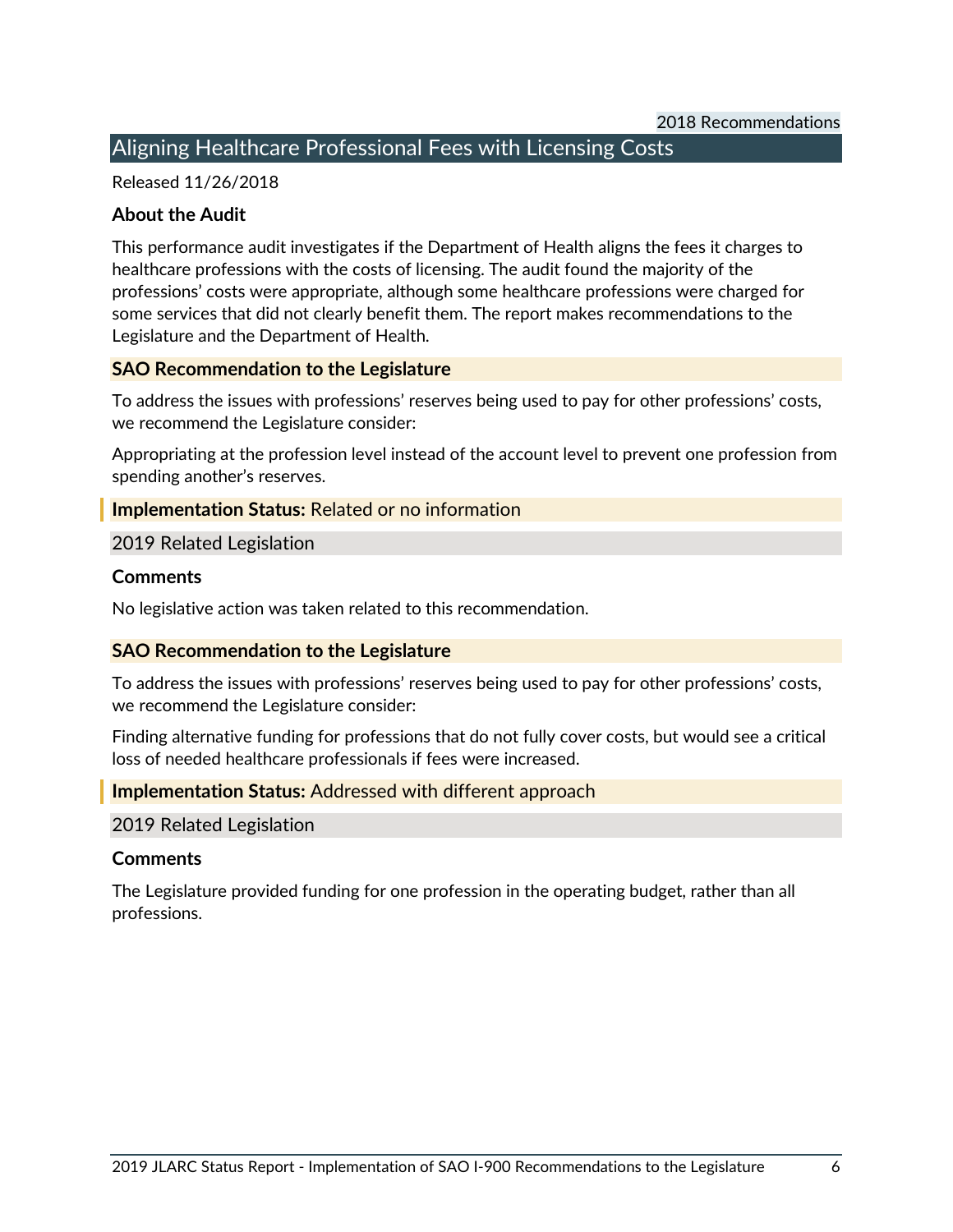#### <span id="page-8-0"></span>Aligning Healthcare Professional Fees with Licensing Costs

Released 11/26/2018

#### **About the Audit**

This performance audit investigates if the Department of Health aligns the fees it charges to healthcare professions with the costs of licensing. The audit found the majority of the professions' costs were appropriate, although some healthcare professions were charged for some services that did not clearly benefit them. The report makes recommendations to the Legislature and the Department of Health.

#### **SAO Recommendation to the Legislature**

To address the issues with professions' reserves being used to pay for other professions' costs, we recommend the Legislature consider:

Appropriating at the profession level instead of the account level to prevent one profession from spending another's reserves.

#### **Implementation Status:** Related or no information

#### 2019 Related Legislation

#### **Comments**

No legislative action was taken related to this recommendation.

#### **SAO Recommendation to the Legislature**

To address the issues with professions' reserves being used to pay for other professions' costs, we recommend the Legislature consider:

Finding alternative funding for professions that do not fully cover costs, but would see a critical loss of needed healthcare professionals if fees were increased.

#### **Implementation Status:** Addressed with different approach

#### 2019 Related Legislation

#### **Comments**

The Legislature provided funding for one profession in the operating budget, rather than all professions.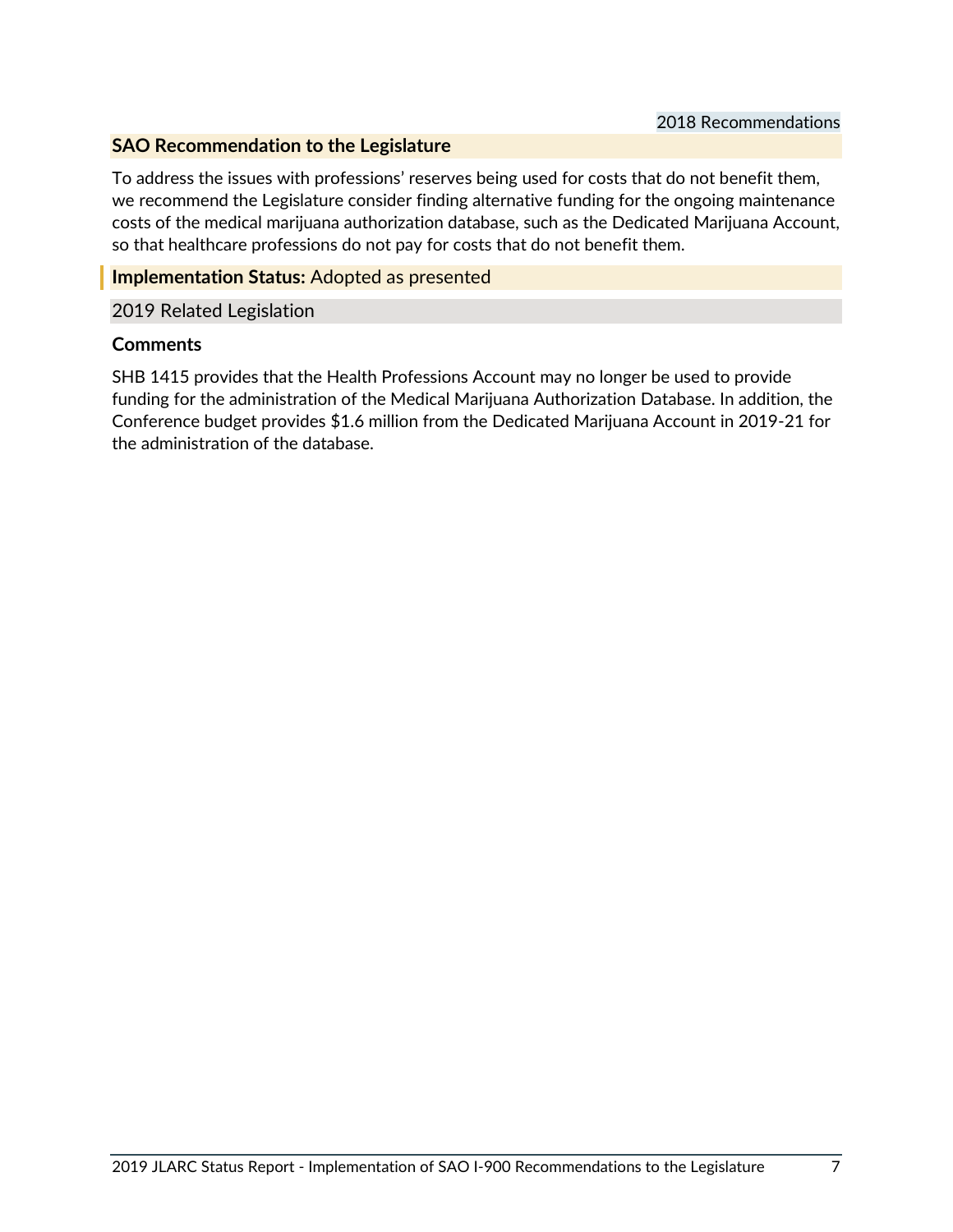#### **SAO Recommendation to the Legislature**

To address the issues with professions' reserves being used for costs that do not benefit them, we recommend the Legislature consider finding alternative funding for the ongoing maintenance costs of the medical marijuana authorization database, such as the Dedicated Marijuana Account, so that healthcare professions do not pay for costs that do not benefit them.

#### **Implementation Status:** Adopted as presented

#### 2019 Related Legislation

#### **Comments**

SHB 1415 provides that the Health Professions Account may no longer be used to provide funding for the administration of the Medical Marijuana Authorization Database. In addition, the Conference budget provides \$1.6 million from the Dedicated Marijuana Account in 2019-21 for the administration of the database.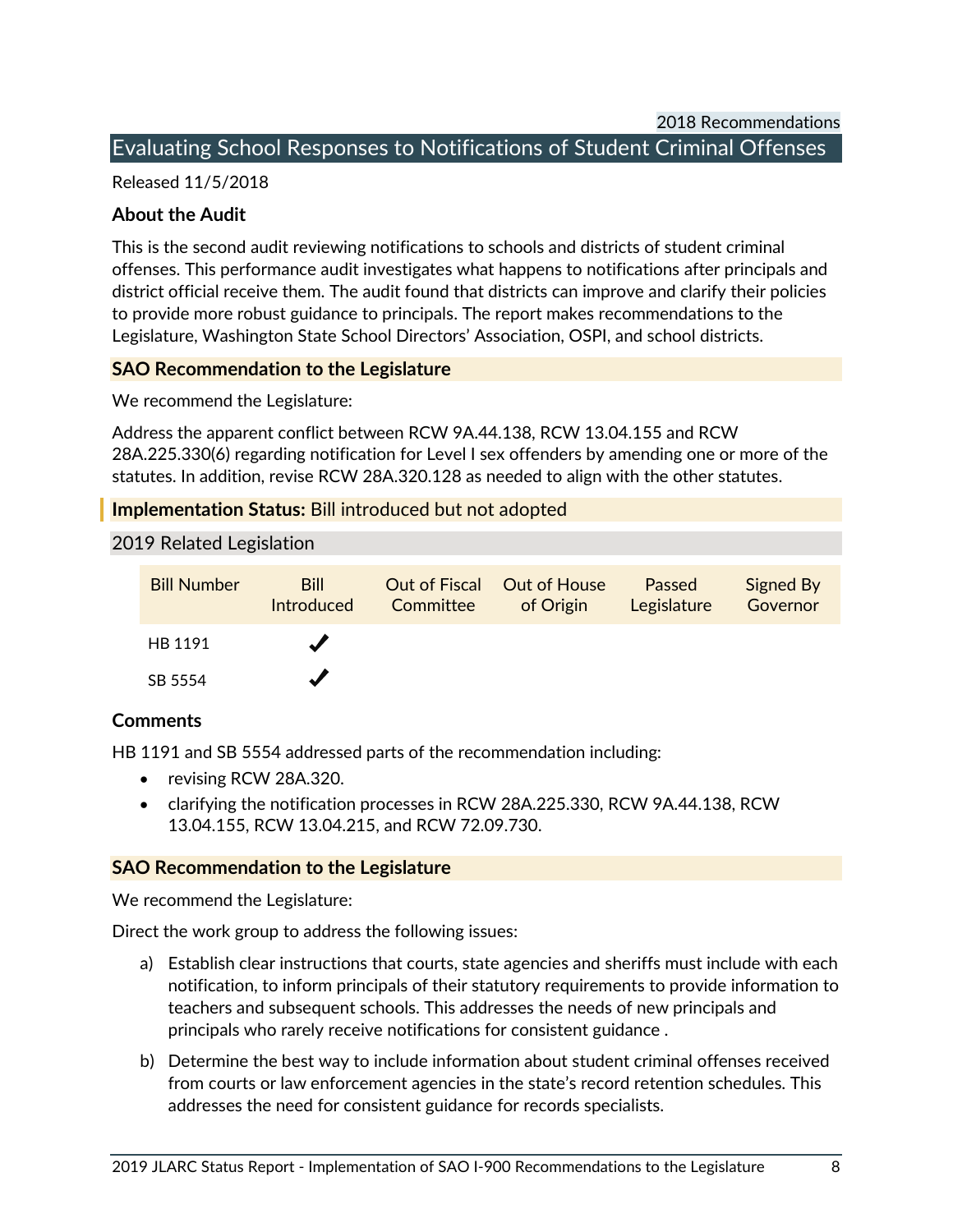2018 Recommendations

#### <span id="page-10-0"></span>Evaluating School Responses to Notifications of Student Criminal Offenses

Released 11/5/2018

#### **About the Audit**

This is the second audit reviewing notifications to schools and districts of student criminal offenses. This performance audit investigates what happens to notifications after principals and district official receive them. The audit found that districts can improve and clarify their policies to provide more robust guidance to principals. The report makes recommendations to the Legislature, Washington State School Directors' Association, OSPI, and school districts.

#### **SAO Recommendation to the Legislature**

We recommend the Legislature:

Address the apparent conflict between RCW 9A.44.138, RCW 13.04.155 and RCW 28A.225.330(6) regarding notification for Level I sex offenders by amending one or more of the statutes. In addition, revise RCW 28A.320.128 as needed to align with the other statutes.

#### **Implementation Status:** Bill introduced but not adopted

2019 Related Legislation

| <b>Bill Number</b> | <b>Bill</b><br><b>Introduced</b> | Committee | Out of Fiscal Out of House<br>of Origin | Passed<br>Legislature | Signed By<br>Governor |
|--------------------|----------------------------------|-----------|-----------------------------------------|-----------------------|-----------------------|
| HB 1191            |                                  |           |                                         |                       |                       |
| SB 5554            |                                  |           |                                         |                       |                       |

#### **Comments**

HB 1191 and SB 5554 addressed parts of the recommendation including:

- revising RCW 28A.320.
- clarifying the notification processes in RCW 28A.225.330, RCW 9A.44.138, RCW 13.04.155, RCW 13.04.215, and RCW 72.09.730.

#### **SAO Recommendation to the Legislature**

We recommend the Legislature:

Direct the work group to address the following issues:

- a) Establish clear instructions that courts, state agencies and sheriffs must include with each notification, to inform principals of their statutory requirements to provide information to teachers and subsequent schools. This addresses the needs of new principals and principals who rarely receive notifications for consistent guidance .
- b) Determine the best way to include information about student criminal offenses received from courts or law enforcement agencies in the state's record retention schedules. This addresses the need for consistent guidance for records specialists.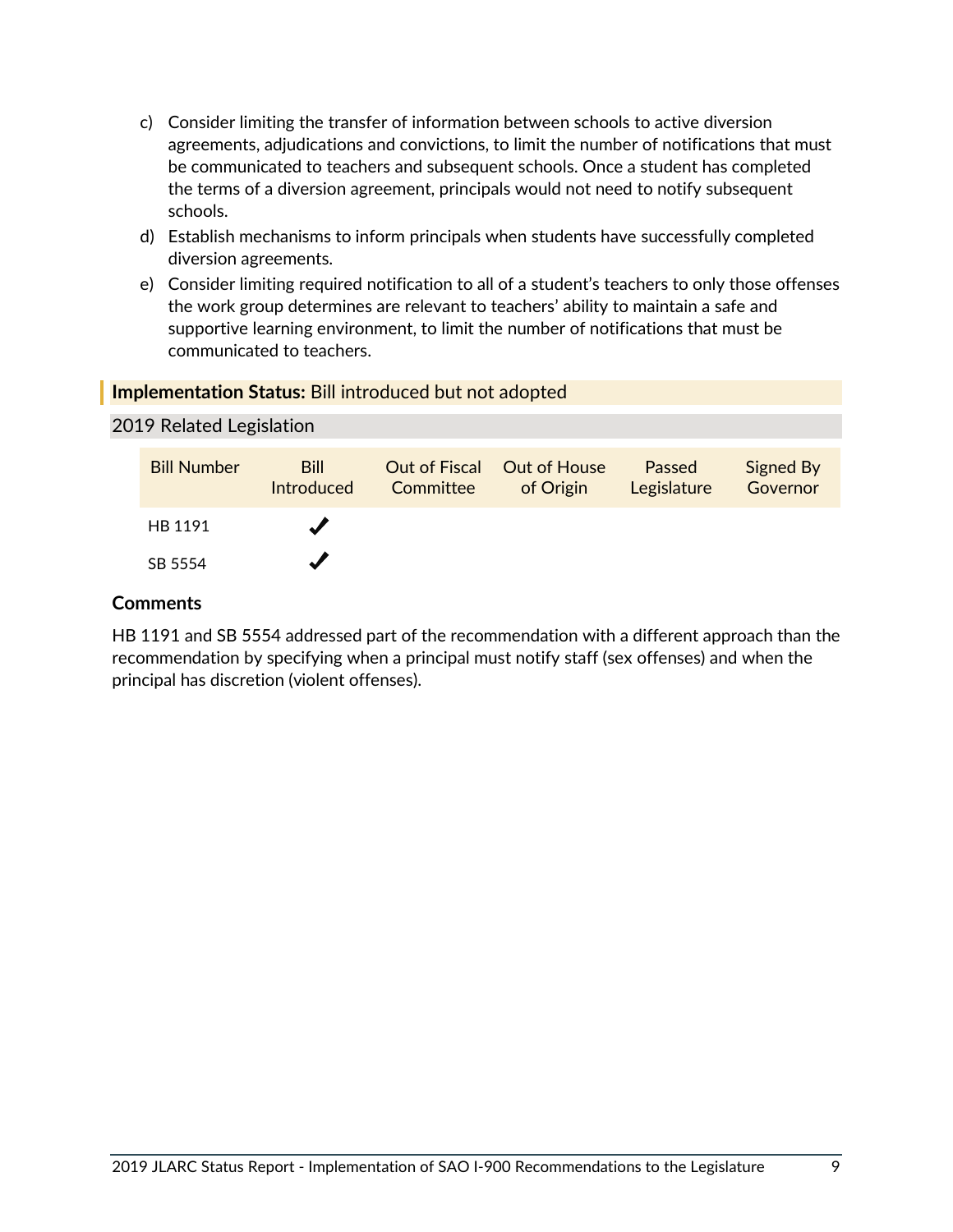- c) Consider limiting the transfer of information between schools to active diversion agreements, adjudications and convictions, to limit the number of notifications that must be communicated to teachers and subsequent schools. Once a student has completed the terms of a diversion agreement, principals would not need to notify subsequent schools.
- d) Establish mechanisms to inform principals when students have successfully completed diversion agreements.
- e) Consider limiting required notification to all of a student's teachers to only those offenses the work group determines are relevant to teachers' ability to maintain a safe and supportive learning environment, to limit the number of notifications that must be communicated to teachers.

#### **Implementation Status:** Bill introduced but not adopted

#### 2019 Related Legislation

| <b>Bill Number</b> | <b>Bill</b><br>Introduced | Committee | Out of Fiscal Out of House<br>of Origin | Passed<br>Legislature | Signed By<br>Governor |
|--------------------|---------------------------|-----------|-----------------------------------------|-----------------------|-----------------------|
| HB 1191            |                           |           |                                         |                       |                       |
| SB 5554            |                           |           |                                         |                       |                       |

#### **Comments**

HB 1191 and SB 5554 addressed part of the recommendation with a different approach than the recommendation by specifying when a principal must notify staff (sex offenses) and when the principal has discretion (violent offenses).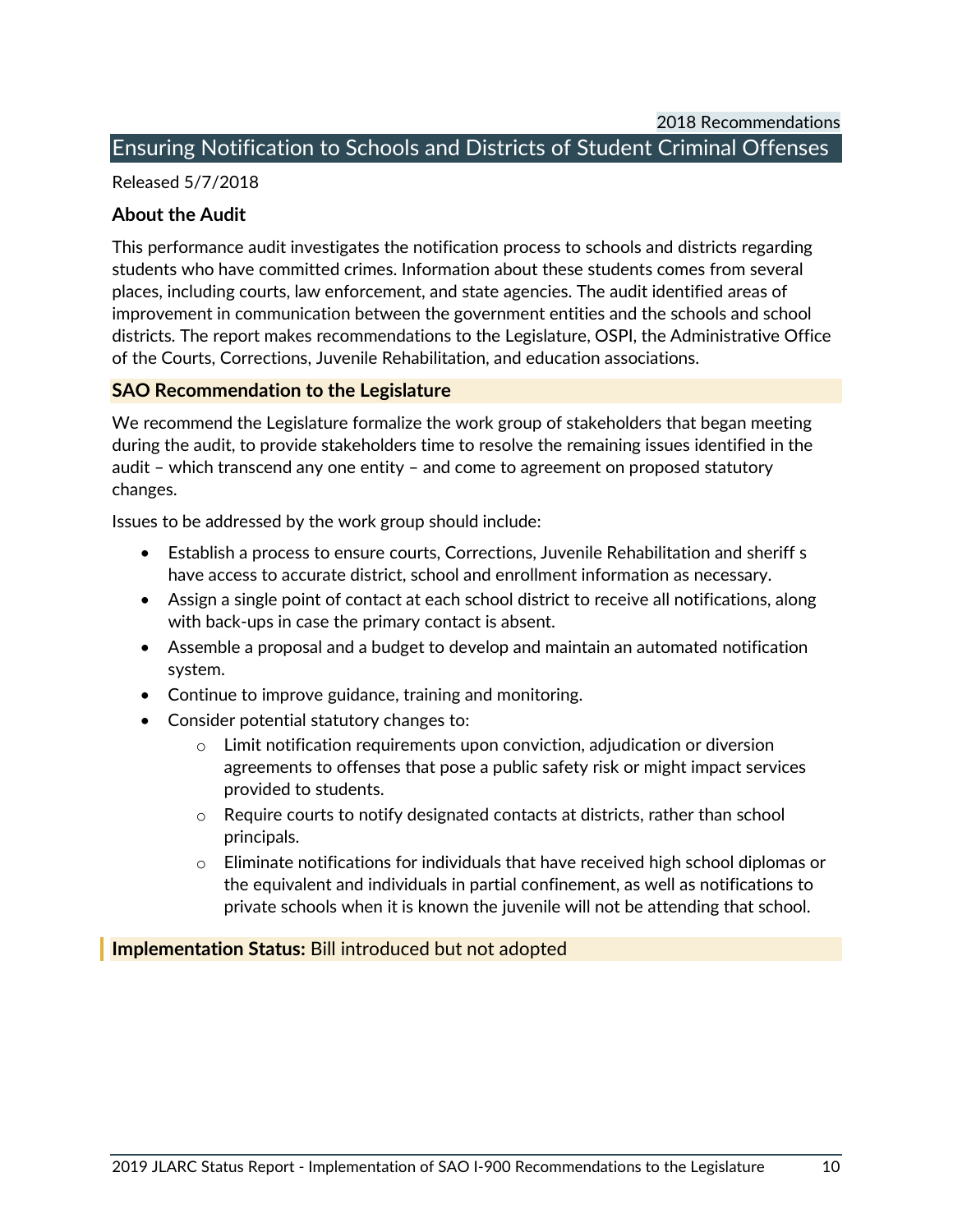2018 Recommendations

#### <span id="page-12-0"></span>Ensuring Notification to Schools and Districts of Student Criminal Offenses

#### Released 5/7/2018

#### **About the Audit**

This performance audit investigates the notification process to schools and districts regarding students who have committed crimes. Information about these students comes from several places, including courts, law enforcement, and state agencies. The audit identified areas of improvement in communication between the government entities and the schools and school districts. The report makes recommendations to the Legislature, OSPI, the Administrative Office of the Courts, Corrections, Juvenile Rehabilitation, and education associations.

#### **SAO Recommendation to the Legislature**

We recommend the Legislature formalize the work group of stakeholders that began meeting during the audit, to provide stakeholders time to resolve the remaining issues identified in the audit – which transcend any one entity – and come to agreement on proposed statutory changes.

Issues to be addressed by the work group should include:

- Establish a process to ensure courts, Corrections, Juvenile Rehabilitation and sheriff s have access to accurate district, school and enrollment information as necessary.
- Assign a single point of contact at each school district to receive all notifications, along with back-ups in case the primary contact is absent.
- Assemble a proposal and a budget to develop and maintain an automated notification system.
- Continue to improve guidance, training and monitoring.
- Consider potential statutory changes to:
	- $\circ$  Limit notification requirements upon conviction, adjudication or diversion agreements to offenses that pose a public safety risk or might impact services provided to students.
	- $\circ$  Require courts to notify designated contacts at districts, rather than school principals.
	- $\circ$  Eliminate notifications for individuals that have received high school diplomas or the equivalent and individuals in partial confinement, as well as notifications to private schools when it is known the juvenile will not be attending that school.

#### **Implementation Status:** Bill introduced but not adopted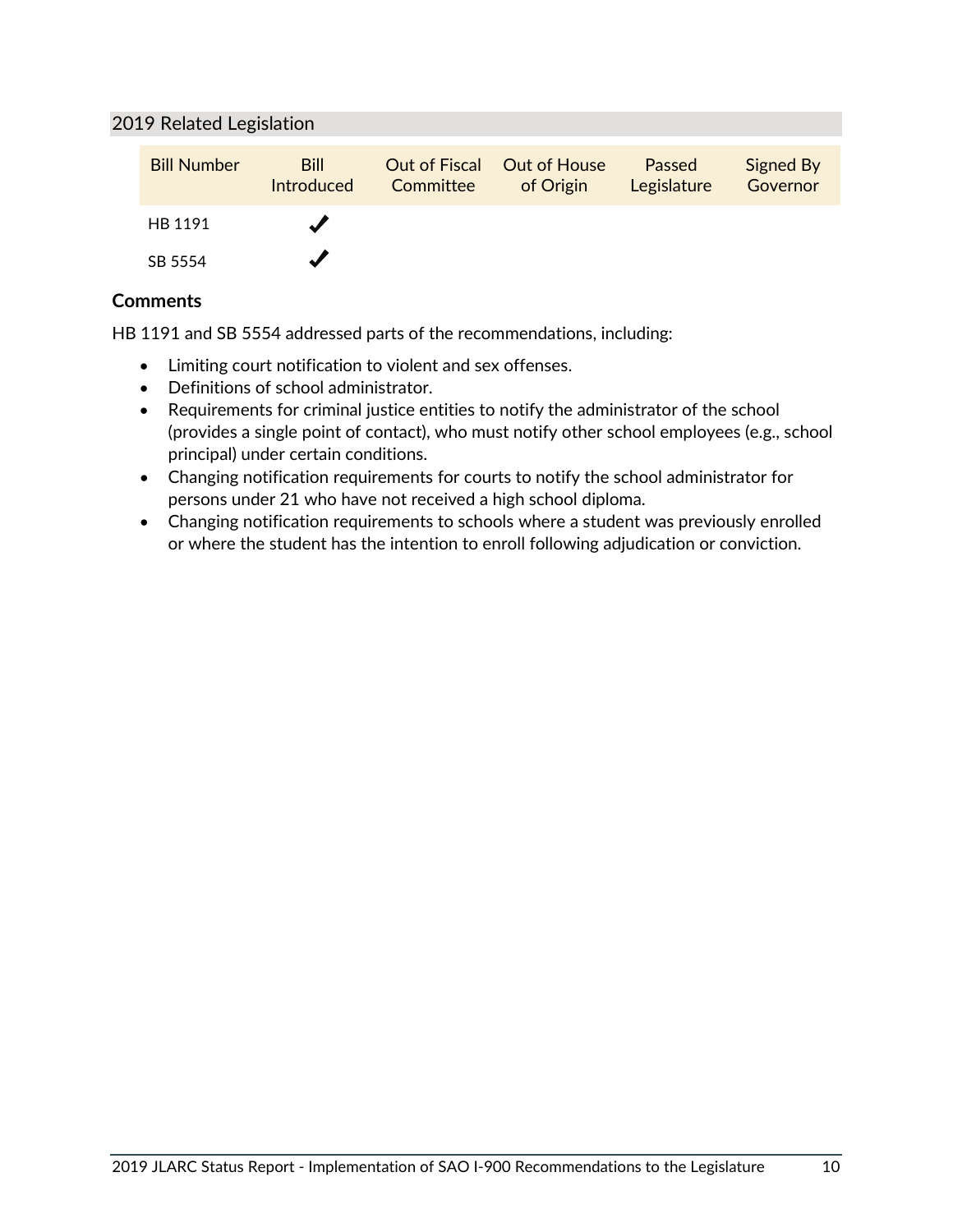#### 2019 Related Legislation

| <b>Bill Number</b> | <b>Bill</b><br>Introduced | Out of Fiscal Out of House<br>Committee of Origin | Passed<br>Legislature | Signed By<br>Governor |
|--------------------|---------------------------|---------------------------------------------------|-----------------------|-----------------------|
| HB 1191            |                           |                                                   |                       |                       |
| SB 5554            |                           |                                                   |                       |                       |

#### **Comments**

HB 1191 and SB 5554 addressed parts of the recommendations, including:

- Limiting court notification to violent and sex offenses.
- Definitions of school administrator.
- Requirements for criminal justice entities to notify the administrator of the school (provides a single point of contact), who must notify other school employees (e.g., school principal) under certain conditions.
- Changing notification requirements for courts to notify the school administrator for persons under 21 who have not received a high school diploma.
- Changing notification requirements to schools where a student was previously enrolled or where the student has the intention to enroll following adjudication or conviction.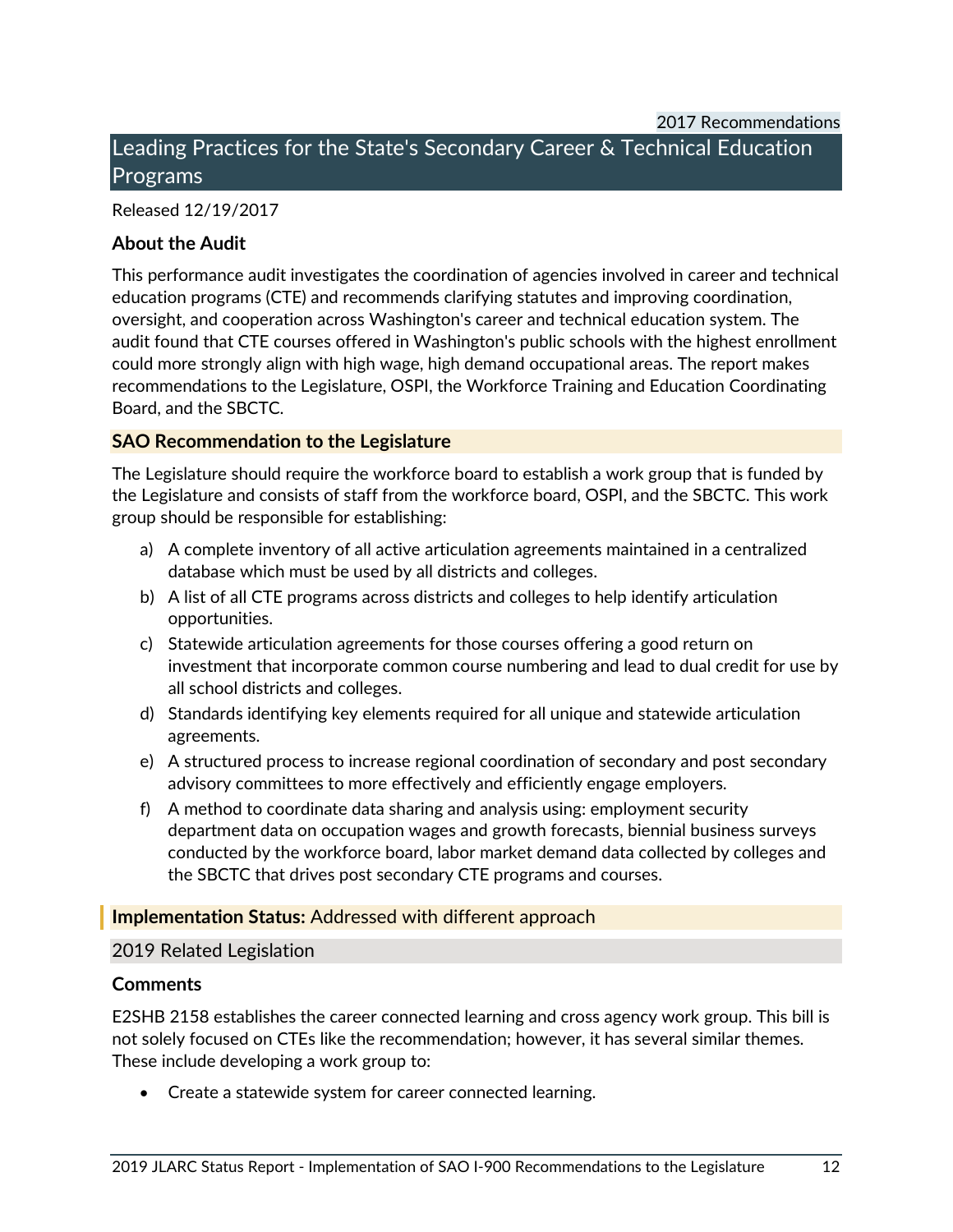### <span id="page-14-0"></span>Leading Practices for the State's Secondary Career & Technical Education Programs

#### Released 12/19/2017

#### **About the Audit**

This performance audit investigates the coordination of agencies involved in career and technical education programs (CTE) and recommends clarifying statutes and improving coordination, oversight, and cooperation across Washington's career and technical education system. The audit found that CTE courses offered in Washington's public schools with the highest enrollment could more strongly align with high wage, high demand occupational areas. The report makes recommendations to the Legislature, OSPI, the Workforce Training and Education Coordinating Board, and the SBCTC.

#### **SAO Recommendation to the Legislature**

The Legislature should require the workforce board to establish a work group that is funded by the Legislature and consists of staff from the workforce board, OSPI, and the SBCTC. This work group should be responsible for establishing:

- a) A complete inventory of all active articulation agreements maintained in a centralized database which must be used by all districts and colleges.
- b) A list of all CTE programs across districts and colleges to help identify articulation opportunities.
- c) Statewide articulation agreements for those courses offering a good return on investment that incorporate common course numbering and lead to dual credit for use by all school districts and colleges.
- d) Standards identifying key elements required for all unique and statewide articulation agreements.
- e) A structured process to increase regional coordination of secondary and post secondary advisory committees to more effectively and efficiently engage employers.
- f) A method to coordinate data sharing and analysis using: employment security department data on occupation wages and growth forecasts, biennial business surveys conducted by the workforce board, labor market demand data collected by colleges and the SBCTC that drives post secondary CTE programs and courses.

#### **Implementation Status:** Addressed with different approach

#### 2019 Related Legislation

#### **Comments**

E2SHB 2158 establishes the career connected learning and cross agency work group. This bill is not solely focused on CTEs like the recommendation; however, it has several similar themes. These include developing a work group to:

• Create a statewide system for career connected learning.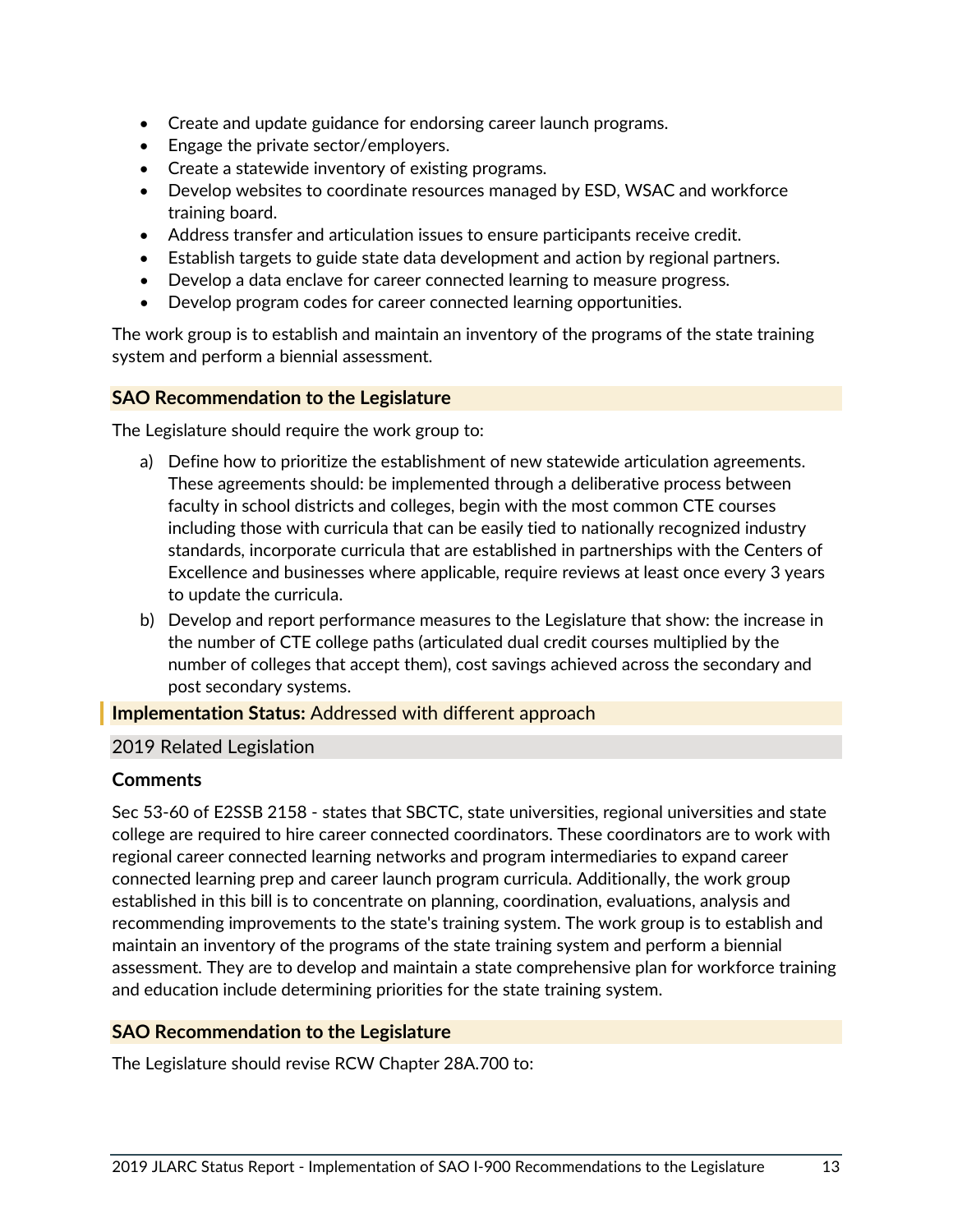- Create and update guidance for endorsing career launch programs.
- Engage the private sector/employers.
- Create a statewide inventory of existing programs.
- Develop websites to coordinate resources managed by ESD, WSAC and workforce training board.
- Address transfer and articulation issues to ensure participants receive credit.
- Establish targets to guide state data development and action by regional partners.
- Develop a data enclave for career connected learning to measure progress.
- Develop program codes for career connected learning opportunities.

The work group is to establish and maintain an inventory of the programs of the state training system and perform a biennial assessment.

#### **SAO Recommendation to the Legislature**

The Legislature should require the work group to:

- a) Define how to prioritize the establishment of new statewide articulation agreements. These agreements should: be implemented through a deliberative process between faculty in school districts and colleges, begin with the most common CTE courses including those with curricula that can be easily tied to nationally recognized industry standards, incorporate curricula that are established in partnerships with the Centers of Excellence and businesses where applicable, require reviews at least once every 3 years to update the curricula.
- b) Develop and report performance measures to the Legislature that show: the increase in the number of CTE college paths (articulated dual credit courses multiplied by the number of colleges that accept them), cost savings achieved across the secondary and post secondary systems.

**Implementation Status:** Addressed with different approach

#### 2019 Related Legislation

#### **Comments**

Sec 53-60 of E2SSB 2158 - states that SBCTC, state universities, regional universities and state college are required to hire career connected coordinators. These coordinators are to work with regional career connected learning networks and program intermediaries to expand career connected learning prep and career launch program curricula. Additionally, the work group established in this bill is to concentrate on planning, coordination, evaluations, analysis and recommending improvements to the state's training system. The work group is to establish and maintain an inventory of the programs of the state training system and perform a biennial assessment. They are to develop and maintain a state comprehensive plan for workforce training and education include determining priorities for the state training system.

#### **SAO Recommendation to the Legislature**

The Legislature should revise RCW Chapter 28A.700 to: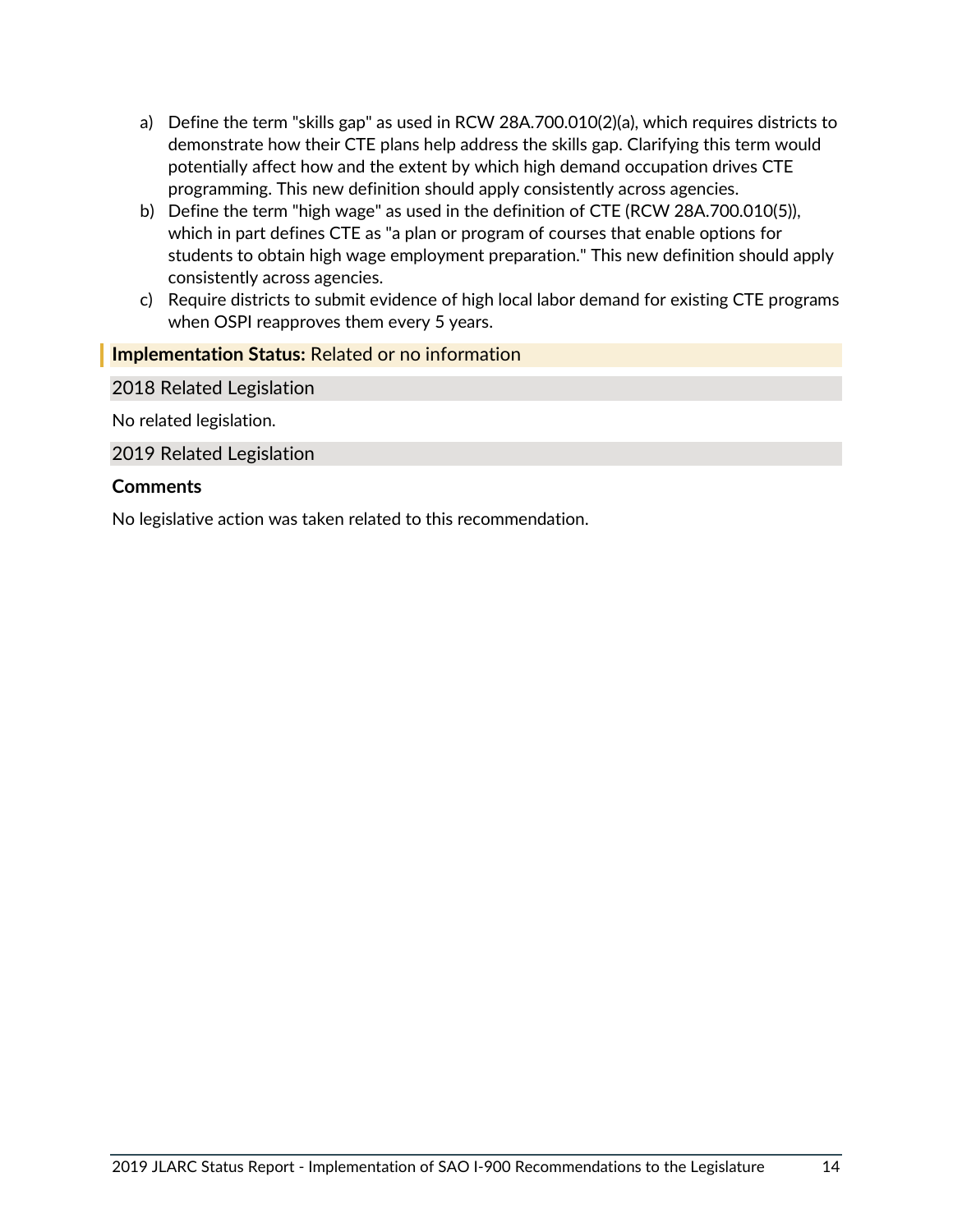- a) Define the term "skills gap" as used in RCW 28A.700.010(2)(a), which requires districts to demonstrate how their CTE plans help address the skills gap. Clarifying this term would potentially affect how and the extent by which high demand occupation drives CTE programming. This new definition should apply consistently across agencies.
- b) Define the term "high wage" as used in the definition of CTE (RCW 28A.700.010(5)), which in part defines CTE as "a plan or program of courses that enable options for students to obtain high wage employment preparation." This new definition should apply consistently across agencies.
- c) Require districts to submit evidence of high local labor demand for existing CTE programs when OSPI reapproves them every 5 years.

#### **Implementation Status:** Related or no information

2018 Related Legislation

No related legislation.

2019 Related Legislation

#### **Comments**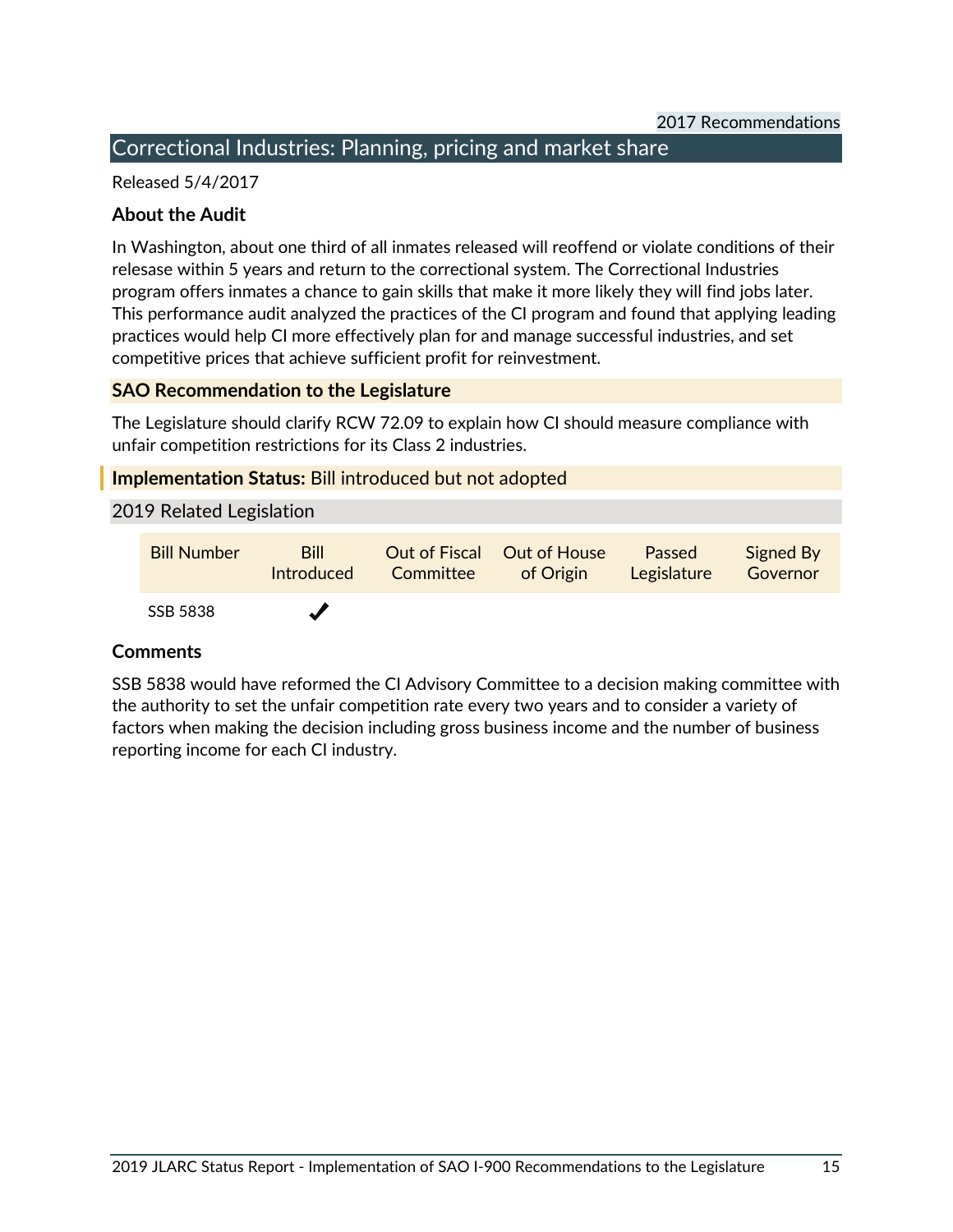#### <span id="page-17-0"></span>Correctional Industries: Planning, pricing and market share

Released 5/4/2017

#### **About the Audit**

In Washington, about one third of all inmates released will reoffend or violate conditions of their relesase within 5 years and return to the correctional system. The Correctional Industries program offers inmates a chance to gain skills that make it more likely they will find jobs later. This performance audit analyzed the practices of the CI program and found that applying leading practices would help CI more effectively plan for and manage successful industries, and set competitive prices that achieve sufficient profit for reinvestment.

#### **SAO Recommendation to the Legislature**

The Legislature should clarify RCW 72.09 to explain how CI should measure compliance with unfair competition restrictions for its Class 2 industries.

#### **Implementation Status:** Bill introduced but not adopted

#### 2019 Related Legislation

| <b>Bill Number</b> | <b>Bill</b><br><b>Introduced</b> | <b>Out of Fiscal Out of House</b> Passed<br><b>Committee</b> of Origin | Legislature | Signed By<br>Governor |
|--------------------|----------------------------------|------------------------------------------------------------------------|-------------|-----------------------|
| SSB 5838           | $\boldsymbol{J}$                 |                                                                        |             |                       |

#### **Comments**

SSB 5838 would have reformed the CI Advisory Committee to a decision making committee with the authority to set the unfair competition rate every two years and to consider a variety of factors when making the decision including gross business income and the number of business reporting income for each CI industry.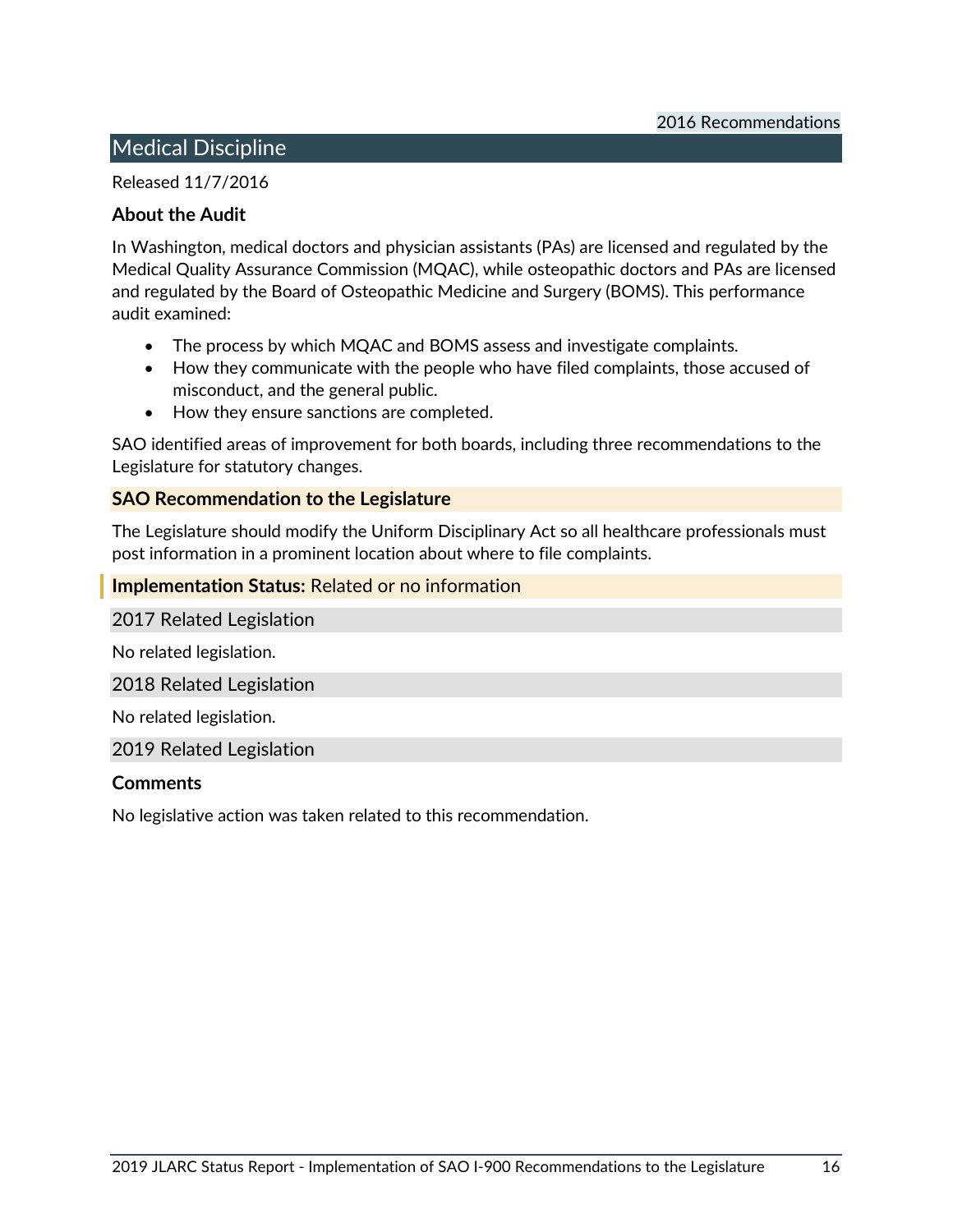#### <span id="page-18-0"></span>Medical Discipline

Released 11/7/2016

#### **About the Audit**

In Washington, medical doctors and physician assistants (PAs) are licensed and regulated by the Medical Quality Assurance Commission (MQAC), while osteopathic doctors and PAs are licensed and regulated by the Board of Osteopathic Medicine and Surgery (BOMS). This performance audit examined:

- The process by which MQAC and BOMS assess and investigate complaints.
- How they communicate with the people who have filed complaints, those accused of misconduct, and the general public.
- How they ensure sanctions are completed.

SAO identified areas of improvement for both boards, including three recommendations to the Legislature for statutory changes.

#### **SAO Recommendation to the Legislature**

The Legislature should modify the Uniform Disciplinary Act so all healthcare professionals must post information in a prominent location about where to file complaints.

#### **Implementation Status:** Related or no information

2017 Related Legislation

No related legislation.

2018 Related Legislation

No related legislation.

2019 Related Legislation

#### **Comments**